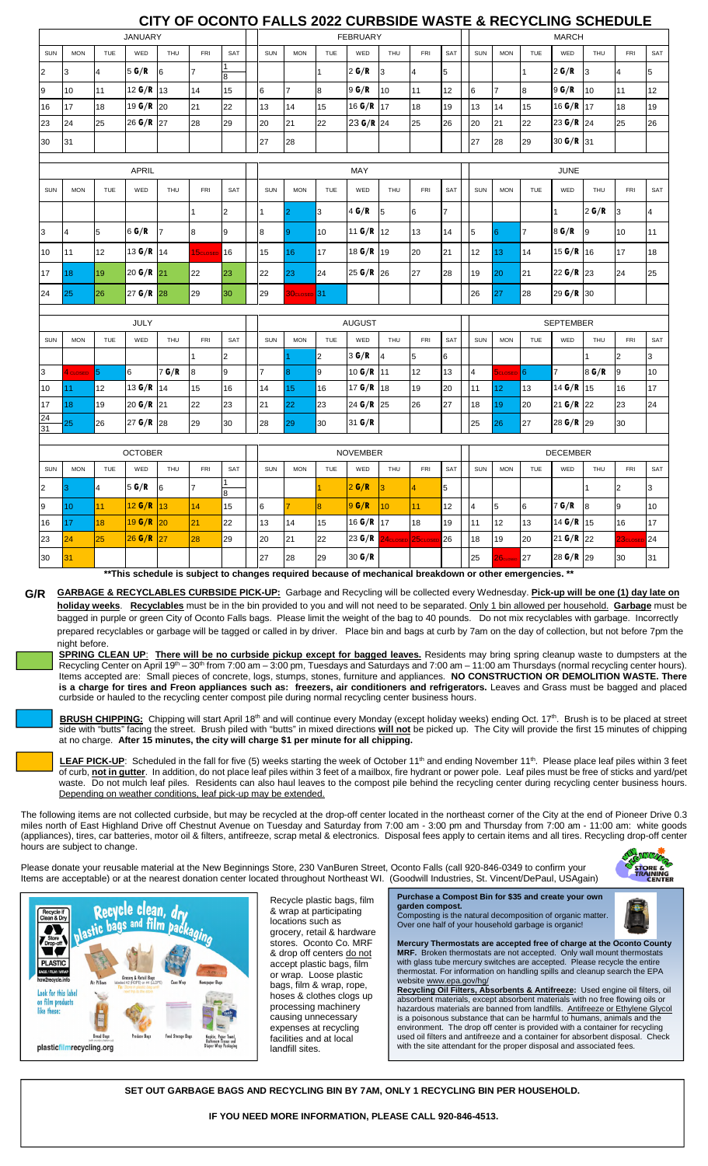## **CITY OF OCONTO FALLS 2022 CURBSIDE WASTE & RECYCLING SCHEDULE**

| <b>JANUARY</b> |                  |                |                |                |                      | <b>FEBRUARY</b> |                |                |                |                 |                      | <b>MARCH</b>         |                |                         |                             |                 |                 |              |                         |                |
|----------------|------------------|----------------|----------------|----------------|----------------------|-----------------|----------------|----------------|----------------|-----------------|----------------------|----------------------|----------------|-------------------------|-----------------------------|-----------------|-----------------|--------------|-------------------------|----------------|
| SUN            | <b>MON</b>       | <b>TUE</b>     | WED            | THU            | <b>FRI</b>           | SAT             | SUN            | <b>MON</b>     | TUE            | WED             | THU                  | <b>FRI</b>           | SAT            | <b>SUN</b>              | <b>MON</b>                  | <b>TUE</b>      | WED             | THU          | <b>FRI</b>              | <b>SAT</b>     |
| $\overline{2}$ | 3                | $\overline{4}$ | 5 G/R          | 6              | $\overline{7}$       | 8               |                |                | 1              | 2 G/R           | 3                    | $\overline{4}$       | 5              |                         |                             | 1               | 2 G/R           | 3            | 4                       | 5              |
| 9              | 10               | 11             | 12 $G/R$       | 13             | 14                   | 15              | 6              | $\overline{7}$ | 8              | 9 G/R           | 10                   | 11                   | 12             | 6                       | $\overline{7}$              | 8               | 9 G/R           | 10           | 11                      | 12             |
| 16             | 17               | 18             | 19 $G/R$       | 20             | 21                   | 22              | 13             | 14             | 15             | 16 $G/R$        | 17                   | 18                   | 19             | 13                      | 14                          | 15              | 16 $G/R$        | 17           | 18                      | 19             |
| 23             | 24               | 25             | 26 $G/R$       | 27             | 28                   | 29              | 20             | 21             | 22             | 23 G/R          | 24                   | 25                   | 26             | 20                      | 21                          | 22              | 23 G/R          | 124          | 25                      | 26             |
| 30             | 31               |                |                |                |                      |                 | 27             | 28             |                |                 |                      |                      |                | 27                      | 28                          | 29              | 30 $G/R$ 31     |              |                         |                |
|                |                  |                |                |                |                      |                 |                |                |                |                 |                      |                      |                |                         |                             |                 |                 |              |                         |                |
| <b>APRIL</b>   |                  |                |                |                |                      |                 |                | MAY            |                |                 |                      | <b>JUNE</b>          |                |                         |                             |                 |                 |              |                         |                |
| SUN            | <b>MON</b>       | TUE            | WED            | THU            | <b>FRI</b>           | SAT             | SUN            | <b>MON</b>     | <b>TUE</b>     | WED             | THU                  | <b>FRI</b>           | SAT            | SUN                     | <b>MON</b>                  | TUE             | WED             | THU          | FRI                     | SAT            |
|                |                  |                |                |                | $\overline{1}$       | $\overline{2}$  | $\overline{1}$ | $\overline{2}$ | 3              | 4 G/R           | 5                    | 6                    | $\overline{7}$ |                         |                             |                 | 1               | 2 G/R        | 3                       | $\overline{4}$ |
| 3              | 4                | 5              | 6G/R           | $\overline{7}$ | 8                    | 9               | 8              | 9              | 10             | 11 $G/R$        | 12                   | 13                   | 14             | 5                       | 6                           | $\overline{7}$  | 8 G/R           | 9            | 10                      | 11             |
| 10             | 11               | 12             | 13 $G/R$ 14    |                | 15 <sub>CLOSED</sub> | 16              | 15             | 16             | 17             | 18 $G/R$        | 19                   | 20                   | 21             | 12                      | 13                          | 14              | 15 $G/R$ 16     |              | 17                      | 18             |
| 17             | 18               | 19             | 20 $G/R$ 21    |                | 22                   | 23              | 22             | 23             | 24             | 25 $G/R$ 26     |                      | 27                   | 28             | 19                      | 20                          | 21              | 22 G/R 23       |              | 24                      | 25             |
| 24             | 25               | 26             | 27 $G/R$ 28    |                | 29                   | 30              | 29             | 30closed 31    |                |                 |                      |                      |                | 26                      | 27                          | 28              | 29 $G/R$ 30     |              |                         |                |
|                |                  |                |                |                |                      |                 |                |                |                |                 |                      |                      |                |                         |                             |                 |                 |              |                         |                |
|                |                  |                | <b>JULY</b>    |                |                      |                 |                | <b>AUGUST</b>  |                |                 |                      |                      |                | <b>SEPTEMBER</b>        |                             |                 |                 |              |                         |                |
| <b>SUN</b>     | <b>MON</b>       | <b>TUE</b>     | WED            | THU            | <b>FRI</b>           | SAT             | SUN            | <b>MON</b>     | <b>TUE</b>     | WED             | THU                  | <b>FRI</b>           | SAT            | SUN                     | <b>MON</b>                  | <b>TUE</b>      | WED             | <b>THU</b>   | <b>FRI</b>              | SAT            |
|                |                  |                |                |                | $\overline{1}$       | 2               |                |                | $\overline{2}$ | 3 G/R           | 4                    | 5                    | 6              |                         |                             |                 |                 | $\mathbf{1}$ | $\overline{2}$          | 3              |
| 3              | 4 CLOSED         | 5              | 6              | 7G/R           | 8                    | 9               | $\overline{7}$ | 8              | 9              | 10 $G/R$        | 11                   | 12                   | 13             | $\overline{\mathbf{4}}$ | <b>DCLOSED</b> <sup>6</sup> |                 | $\overline{7}$  | 8 G/R        | 9                       | 10             |
| 10             | 11               | 12             | 13 G/R         | 14             | 15                   | 16              | 14             | 15             | 16             | 17 $G/R$        | 18                   | 19                   | 20             | 11                      | 12 <sub>2</sub>             | 13              | 14 G/R          | 15           | 16                      | 17             |
| 17<br>24       | 18               | 19             | 20 G/R 21      |                | 22                   | 23              | 21             | 22             | 23             | 24 G/R          | 25                   | 26                   | 27             | 18                      | 19                          | 20              | $21$ G/R        | 22           | 23                      | 24             |
| 31             | 25               | 26             | 27 $G/R$ 28    |                | 29                   | 30              | 28             | 29             | 30             | 31 G/R          |                      |                      |                | 25                      | 26                          | 27              | 28 G/R 29       |              | 30                      |                |
|                |                  |                | <b>OCTOBER</b> |                |                      |                 |                |                |                | <b>NOVEMBER</b> |                      |                      |                |                         |                             |                 | <b>DECEMBER</b> |              |                         |                |
| <b>SUN</b>     | <b>MON</b>       | TUE            | WED            | THU            | FRI                  | SAT             | SUN            | <b>MON</b>     | TUE            | WED             | THU                  | <b>FRI</b>           | SAT            | SUN                     | <b>MON</b>                  | <b>TUE</b>      | WED             | THU          | <b>FRI</b>              | SAT            |
| $\overline{2}$ | 3                | $\overline{4}$ | 5 G/R          | 6              | $\overline{7}$       | 1<br>8          |                |                |                | 2 G/R           | 3                    | $\overline{4}$       | 5              |                         |                             |                 |                 |              | $\overline{\mathbf{c}}$ | 3              |
| 9              | 10 <sup>10</sup> | 11             | 12 G/R         | 13             | 14                   | 15              | 6              | 7              | $\overline{8}$ | 9G/R            | 10                   | 11                   | 12             | $\overline{4}$          | 5                           | $6\overline{6}$ | 7 G/R           | 8            | 9                       | 10             |
| 16             | 17               | 18             | 19G/R          | 20             | 21                   | 22              | 13             | 14             | 15             | 16 $G/R$        | 17                   | 18                   | 19             | 11                      | 12                          | 13              | 14 $G/R$        | 15           | 16                      | 17             |
| 23             | 24               | 25             | 26 G/R         | 27             | 28                   | 29              | 20             | 21             | 22             | 23 G/R          | 24 <sub>CLOSED</sub> | 25 <sub>closer</sub> | 26             | 18                      | 19                          | 20              | 21 $G/R$        | 22           | 23 <sub>CLOSE</sub>     | 24             |
| 30             | 31               |                |                |                |                      |                 | 27             | 28             | 29             | 30 G/R          |                      |                      |                | 25                      | 26 <sub>CI</sub> osei       | 27              | 28 $G/R$ 29     |              | 30                      | 31             |

**\*\*This schedule is subject to changes required because of mechanical breakdown or other emergencies. \*\***

**GARBAGE & RECYCLABLES CURBSIDE PICK-UP:** Garbage and Recycling will be collected every Wednesday. **Pick-up will be one (1) day late on G/R holiday weeks**. **Recyclables** must be in the bin provided to you and will not need to be separated. Only 1 bin allowed per household. **Garbage** must be bagged in purple or green City of Oconto Falls bags. Please limit the weight of the bag to 40 pounds. Do not mix recyclables with garbage. Incorrectly prepared recyclables or garbage will be tagged or called in by driver. Place bin and bags at curb by 7am on the day of collection, but not before 7pm the night before.

**SPRING CLEAN UP**: **There will be no curbside pickup except for bagged leaves.** Residents may bring spring cleanup waste to dumpsters at the Recycling Center on April 19<sup>th</sup> – 30<sup>th</sup> from 7:00 am – 3:00 pm, Tuesdays and Saturdays and 7:00 am – 11:00 am Thursdays (normal recycling center hours). Items accepted are: Small pieces of concrete, logs, stumps, stones, furniture and appliances. **NO CONSTRUCTION OR DEMOLITION WASTE. There**  is a charge for tires and Freon appliances such as: freezers, air conditioners and refrigerators. Leaves and Grass must be bagged and placed curbside or hauled to the recycling center compost pile during normal recycling center business hours.

BRUSH CHIPPING: Chipping will start April 18<sup>th</sup> and will continue every Monday (except holiday weeks) ending Oct. 17<sup>th</sup>. Brush is to be placed at street side with "butts" facing the street. Brush piled with "butts" in mixed directions **will not** be picked up. The City will provide the first 15 minutes of chipping at no charge. **After 15 minutes, the city will charge \$1 per minute for all chipping.** 

LEAF PICK-UP: Scheduled in the fall for five (5) weeks starting the week of October 11<sup>th</sup> and ending November 11<sup>th</sup>. Please place leaf piles within 3 feet of curb, **not in gutter**. In addition, do not place leaf piles within 3 feet of a mailbox, fire hydrant or power pole. Leaf piles must be free of sticks and yard/pet waste. Do not mulch leaf piles. Residents can also haul leaves to the compost pile behind the recycling center during recycling center business hours. Depending on weather conditions, leaf pick-up may be extended.

The following items are not collected curbside, but may be recycled at the drop-off center located in the northeast corner of the City at the end of Pioneer Drive 0.3 miles north of East Highland Drive off Chestnut Avenue on Tuesday and Saturday from 7:00 am - 3:00 pm and Thursday from 7:00 am - 11:00 am: white goods (appliances), tires, car batteries, motor oil & filters, antifreeze, scrap metal & electronics. Disposal fees apply to certain items and all tires. Recycling drop-off center hours are subject to change.

Please donate your reusable material at the New Beginnings Store, 230 VanBuren Street, Oconto Falls (call 920-846-0349 to confirm your Items are acceptable) or at the nearest donation center located throughout Northeast WI. (Goodwill Industries, St. Vincent/DePaul, USAgain)



Recycle plastic bags, film & wrap at participating locations such as grocery, retail & hardware stores. Oconto Co. MRF & drop off centers do not accept plastic bags, film or wrap. Loose plastic bags, film & wrap, rope, hoses & clothes clogs up processing machinery causing unnecessary expenses at recycling facilities and at local landfill sites.

## **Purchase a Compost Bin for \$35 and create your own**



**garden compost.**  Composting is the natural decomposition of organic matter. Over one half of your household garbage is organic!

**Mercury Thermostats are accepted free of charge at the Oconto County MRF.** Broken thermostats are not accepted. Only wall mount thermostats with glass tube mercury switches are accepted. Please recycle the entire thermostat. For information on handling spills and cleanup search the EPA website www.epa.gov/hg/

**Recycling Oil Filters, Absorbents & Antifreeze:** Used engine oil filters, oil absorbent materials, except absorbent materials with no free flowing oils or hazardous materials are banned from landfills. Antifreeze or Ethylene Glycol is a poisonous substance that can be harmful to humans, animals and the environment. The drop off center is provided with a container for recycling used oil filters and antifreeze and a container for absorbent disposal. Check with the site attendant for the proper disposal and associated fees.

**SET OUT GARBAGE BAGS AND RECYCLING BIN BY 7AM, ONLY 1 RECYCLING BIN PER HOUSEHOLD.** 

## **IF YOU NEED MORE INFORMATION, PLEASE CALL 920-846-4513.**